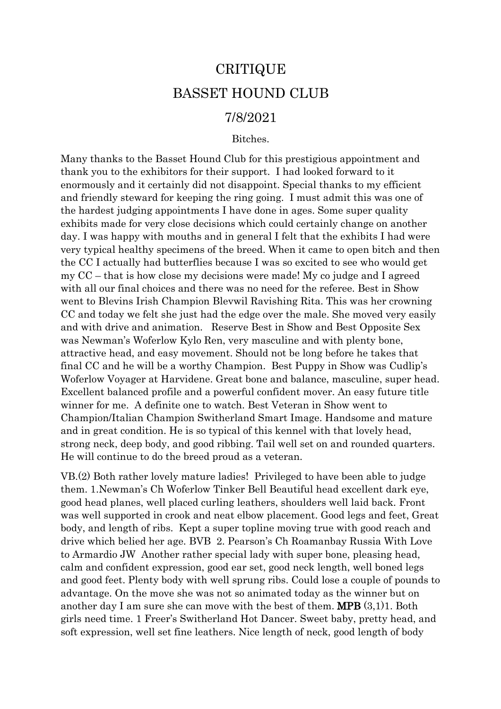## CRITIQUE BASSET HOUND CLUB

## 7/8/2021

## Bitches.

Many thanks to the Basset Hound Club for this prestigious appointment and thank you to the exhibitors for their support. I had looked forward to it enormously and it certainly did not disappoint. Special thanks to my efficient and friendly steward for keeping the ring going. I must admit this was one of the hardest judging appointments I have done in ages. Some super quality exhibits made for very close decisions which could certainly change on another day. I was happy with mouths and in general I felt that the exhibits I had were very typical healthy specimens of the breed. When it came to open bitch and then the CC I actually had butterflies because I was so excited to see who would get my CC – that is how close my decisions were made! My co judge and I agreed with all our final choices and there was no need for the referee. Best in Show went to Blevins Irish Champion Blevwil Ravishing Rita. This was her crowning CC and today we felt she just had the edge over the male. She moved very easily and with drive and animation. Reserve Best in Show and Best Opposite Sex was Newman's Woferlow Kylo Ren, very masculine and with plenty bone, attractive head, and easy movement. Should not be long before he takes that final CC and he will be a worthy Champion. Best Puppy in Show was Cudlip's Woferlow Voyager at Harvidene. Great bone and balance, masculine, super head. Excellent balanced profile and a powerful confident mover. An easy future title winner for me. A definite one to watch. Best Veteran in Show went to Champion/Italian Champion Switherland Smart Image. Handsome and mature and in great condition. He is so typical of this kennel with that lovely head, strong neck, deep body, and good ribbing. Tail well set on and rounded quarters. He will continue to do the breed proud as a veteran.

VB.(2) Both rather lovely mature ladies! Privileged to have been able to judge them. 1.Newman's Ch Woferlow Tinker Bell Beautiful head excellent dark eye, good head planes, well placed curling leathers, shoulders well laid back. Front was well supported in crook and neat elbow placement. Good legs and feet, Great body, and length of ribs. Kept a super topline moving true with good reach and drive which belied her age. BVB 2. Pearson's Ch Roamanbay Russia With Love to Armardio JW Another rather special lady with super bone, pleasing head, calm and confident expression, good ear set, good neck length, well boned legs and good feet. Plenty body with well sprung ribs. Could lose a couple of pounds to advantage. On the move she was not so animated today as the winner but on another day I am sure she can move with the best of them. MPB (3,1)1. Both girls need time. 1 Freer's Switherland Hot Dancer. Sweet baby, pretty head, and soft expression, well set fine leathers. Nice length of neck, good length of body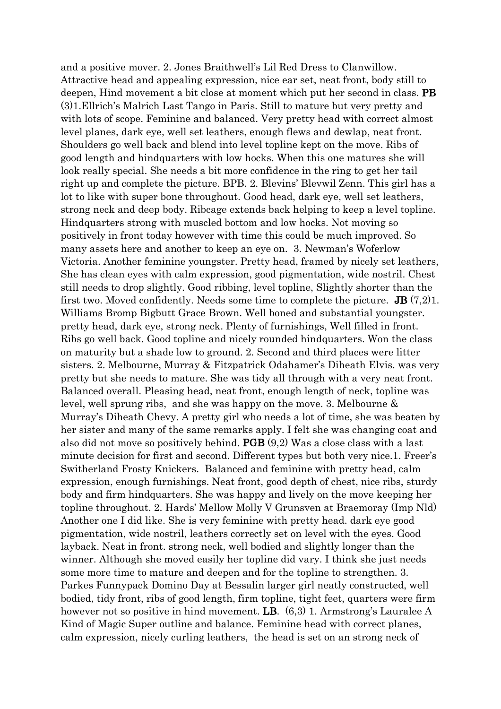and a positive mover. 2. Jones Braithwell's Lil Red Dress to Clanwillow. Attractive head and appealing expression, nice ear set, neat front, body still to deepen, Hind movement a bit close at moment which put her second in class. PB (3)1.Ellrich's Malrich Last Tango in Paris. Still to mature but very pretty and with lots of scope. Feminine and balanced. Very pretty head with correct almost level planes, dark eye, well set leathers, enough flews and dewlap, neat front. Shoulders go well back and blend into level topline kept on the move. Ribs of good length and hindquarters with low hocks. When this one matures she will look really special. She needs a bit more confidence in the ring to get her tail right up and complete the picture. BPB. 2. Blevins' Blevwil Zenn. This girl has a lot to like with super bone throughout. Good head, dark eye, well set leathers, strong neck and deep body. Ribcage extends back helping to keep a level topline. Hindquarters strong with muscled bottom and low hocks. Not moving so positively in front today however with time this could be much improved. So many assets here and another to keep an eye on. 3. Newman's Woferlow Victoria. Another feminine youngster. Pretty head, framed by nicely set leathers, She has clean eyes with calm expression, good pigmentation, wide nostril. Chest still needs to drop slightly. Good ribbing, level topline, Slightly shorter than the first two. Moved confidently. Needs some time to complete the picture. **JB**  $(7,2)1$ . Williams Bromp Bigbutt Grace Brown. Well boned and substantial youngster. pretty head, dark eye, strong neck. Plenty of furnishings, Well filled in front. Ribs go well back. Good topline and nicely rounded hindquarters. Won the class on maturity but a shade low to ground. 2. Second and third places were litter sisters. 2. Melbourne, Murray & Fitzpatrick Odahamer's Diheath Elvis. was very pretty but she needs to mature. She was tidy all through with a very neat front. Balanced overall. Pleasing head, neat front, enough length of neck, topline was level, well sprung ribs, and she was happy on the move. 3. Melbourne & Murray's Diheath Chevy. A pretty girl who needs a lot of time, she was beaten by her sister and many of the same remarks apply. I felt she was changing coat and also did not move so positively behind. PGB (9,2) Was a close class with a last minute decision for first and second. Different types but both very nice.1. Freer's Switherland Frosty Knickers. Balanced and feminine with pretty head, calm expression, enough furnishings. Neat front, good depth of chest, nice ribs, sturdy body and firm hindquarters. She was happy and lively on the move keeping her topline throughout. 2. Hards' Mellow Molly V Grunsven at Braemoray (Imp Nld) Another one I did like. She is very feminine with pretty head. dark eye good pigmentation, wide nostril, leathers correctly set on level with the eyes. Good layback. Neat in front. strong neck, well bodied and slightly longer than the winner. Although she moved easily her topline did vary. I think she just needs some more time to mature and deepen and for the topline to strengthen. 3. Parkes Funnypack Domino Day at Bessalin larger girl neatly constructed, well bodied, tidy front, ribs of good length, firm topline, tight feet, quarters were firm however not so positive in hind movement. **LB**.  $(6,3)$  1. Armstrong's Lauralee A Kind of Magic Super outline and balance. Feminine head with correct planes, calm expression, nicely curling leathers, the head is set on an strong neck of